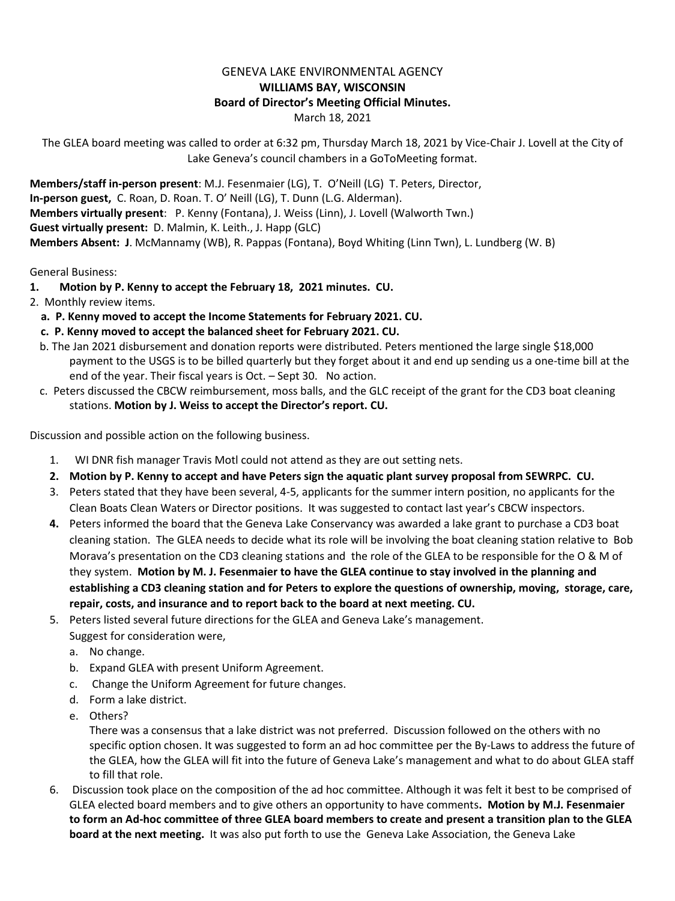## GENEVA LAKE ENVIRONMENTAL AGENCY **WILLIAMS BAY, WISCONSIN Board of Director's Meeting Official Minutes.** March 18, 2021

The GLEA board meeting was called to order at 6:32 pm, Thursday March 18, 2021 by Vice-Chair J. Lovell at the City of Lake Geneva's council chambers in a GoToMeeting format.

**Members/staff in-person present**: M.J. Fesenmaier (LG), T. O'Neill (LG) T. Peters, Director, **In-person guest,** C. Roan, D. Roan. T. O' Neill (LG), T. Dunn (L.G. Alderman). **Members virtually present**: P. Kenny (Fontana), J. Weiss (Linn), J. Lovell (Walworth Twn.) **Guest virtually present:** D. Malmin, K. Leith., J. Happ (GLC) **Members Absent: J**. McMannamy (WB), R. Pappas (Fontana), Boyd Whiting (Linn Twn), L. Lundberg (W. B)

General Business:

- **1. Motion by P. Kenny to accept the February 18, 2021 minutes. CU.**
- 2. Monthly review items.
	- **a. P. Kenny moved to accept the Income Statements for February 2021. CU.**
	- **c. P. Kenny moved to accept the balanced sheet for February 2021. CU.**
	- b. The Jan 2021 disbursement and donation reports were distributed. Peters mentioned the large single \$18,000 payment to the USGS is to be billed quarterly but they forget about it and end up sending us a one-time bill at the end of the year. Their fiscal years is Oct. – Sept 30. No action.
	- c. Peters discussed the CBCW reimbursement, moss balls, and the GLC receipt of the grant for the CD3 boat cleaning stations. **Motion by J. Weiss to accept the Director's report. CU.**

Discussion and possible action on the following business.

- 1. WI DNR fish manager Travis Motl could not attend as they are out setting nets.
- **2. Motion by P. Kenny to accept and have Peters sign the aquatic plant survey proposal from SEWRPC. CU.**
- 3. Peters stated that they have been several, 4-5, applicants for the summer intern position, no applicants for the Clean Boats Clean Waters or Director positions. It was suggested to contact last year's CBCW inspectors.
- **4.** Peters informed the board that the Geneva Lake Conservancy was awarded a lake grant to purchase a CD3 boat cleaning station. The GLEA needs to decide what its role will be involving the boat cleaning station relative to Bob Morava's presentation on the CD3 cleaning stations and the role of the GLEA to be responsible for the O & M of they system. **Motion by M. J. Fesenmaier to have the GLEA continue to stay involved in the planning and establishing a CD3 cleaning station and for Peters to explore the questions of ownership, moving, storage, care, repair, costs, and insurance and to report back to the board at next meeting. CU.**
- 5. Peters listed several future directions for the GLEA and Geneva Lake's management.
	- Suggest for consideration were,
	- a. No change.
	- b. Expand GLEA with present Uniform Agreement.
	- c. Change the Uniform Agreement for future changes.
	- d. Form a lake district.
	- e. Others?

There was a consensus that a lake district was not preferred. Discussion followed on the others with no specific option chosen. It was suggested to form an ad hoc committee per the By-Laws to address the future of the GLEA, how the GLEA will fit into the future of Geneva Lake's management and what to do about GLEA staff to fill that role.

6. Discussion took place on the composition of the ad hoc committee. Although it was felt it best to be comprised of GLEA elected board members and to give others an opportunity to have comments**. Motion by M.J. Fesenmaier to form an Ad-hoc committee of three GLEA board members to create and present a transition plan to the GLEA board at the next meeting.** It was also put forth to use the Geneva Lake Association, the Geneva Lake